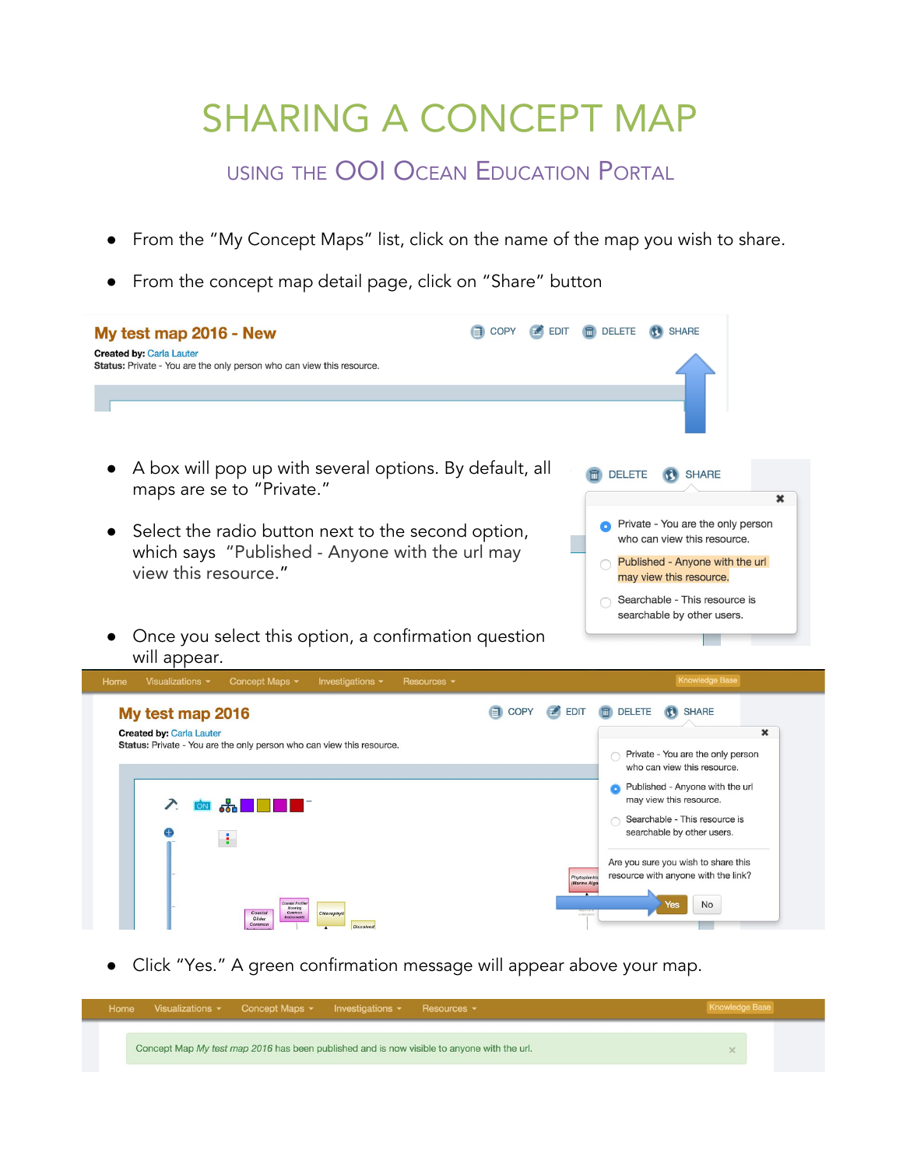## SHARING A CONCEPT MAP

USING THE OOI OCEAN EDUCATION PORTAL

- From the "My Concept Maps" list, click on the name of the map you wish to share.
- From the concept map detail page, click on "Share" button

| My test map 2016 - New<br><b>Created by: Carla Lauter</b><br>Status: Private - You are the only person who can view this resource. | COPY          | <b>EDIT</b>         | <b>In</b> DELETE<br><b>SHARE</b>                                                                                                                                |
|------------------------------------------------------------------------------------------------------------------------------------|---------------|---------------------|-----------------------------------------------------------------------------------------------------------------------------------------------------------------|
| A box will pop up with several options. By default, all<br>maps are se to "Private."                                               |               |                     | <b>In</b> DELETE<br><b>SHARE</b><br>×                                                                                                                           |
| Select the radio button next to the second option,<br>which says "Published - Anyone with the url may<br>view this resource."      |               |                     | Private - You are the only person<br>who can view this resource.<br>Published - Anyone with the url<br>may view this resource.<br>Searchable - This resource is |
| Once you select this option, a confirmation question                                                                               |               |                     | searchable by other users.                                                                                                                                      |
| will appear.<br>Concept Maps -<br>Home<br>Visualizations $\sim$<br>Investigations -<br>Resources v                                 |               |                     | <b>Knowledge Base</b>                                                                                                                                           |
| My test map 2016<br><b>Created by: Carla Lauter</b><br>Status: Private - You are the only person who can view this resource.       | $\equiv$ COPY | $\blacksquare$ EDIT | <b>同</b> DELETE<br><b>KI SHARE</b><br>$\mathbf x$<br>Private - You are the only person<br>who can view this resource.                                           |

● Click "Yes." A green confirmation message will appear above your map.